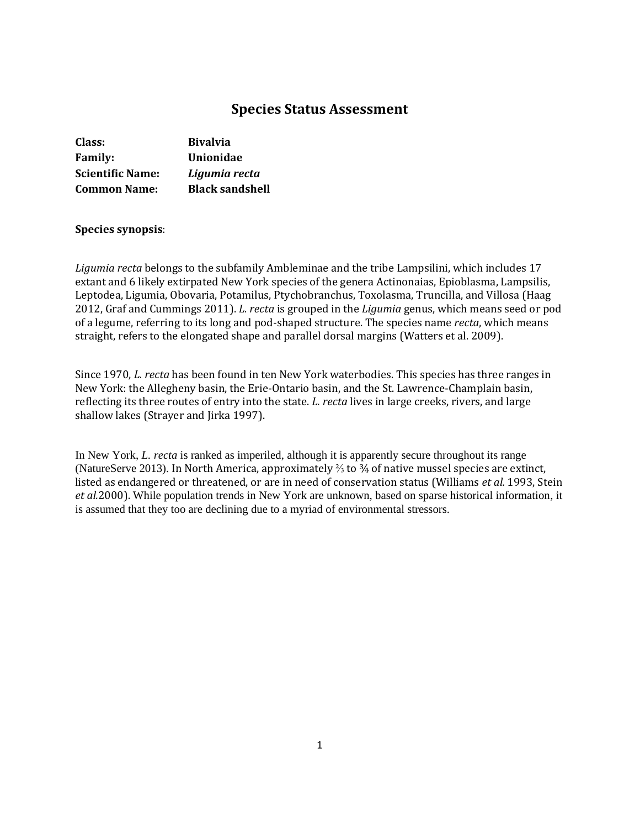# **Species Status Assessment**

| Class:                  | <b>Bivalvia</b>        |
|-------------------------|------------------------|
| <b>Family:</b>          | Unionidae              |
| <b>Scientific Name:</b> | Ligumia recta          |
| <b>Common Name:</b>     | <b>Black sandshell</b> |

## **Species synopsis**:

*Ligumia recta* belongs to the subfamily Ambleminae and the tribe Lampsilini, which includes 17 extant and 6 likely extirpated New York species of the genera Actinonaias, Epioblasma, Lampsilis, Leptodea, Ligumia, Obovaria, Potamilus, Ptychobranchus, Toxolasma, Truncilla, and Villosa (Haag 2012, Graf and Cummings 2011). *L. recta* is grouped in the *Ligumia* genus, which means seed or pod of a legume, referring to its long and pod-shaped structure. The species name *recta*, which means straight, refers to the elongated shape and parallel dorsal margins (Watters et al. 2009).

Since 1970, *L. recta* has been found in ten New York waterbodies. This species has three ranges in New York: the Allegheny basin, the Erie-Ontario basin, and the St. Lawrence-Champlain basin, reflecting its three routes of entry into the state. *L. recta* lives in large creeks, rivers, and large shallow lakes (Strayer and Jirka 1997).

In New York, *L. recta* is ranked as imperiled, although it is apparently secure throughout its range (NatureServe 2013). In North America, approximately ⅔ to ¾ of native mussel species are extinct, listed as endangered or threatened, or are in need of conservation status (Williams *et al.* 1993, Stein *et al.*2000). While population trends in New York are unknown, based on sparse historical information, it is assumed that they too are declining due to a myriad of environmental stressors.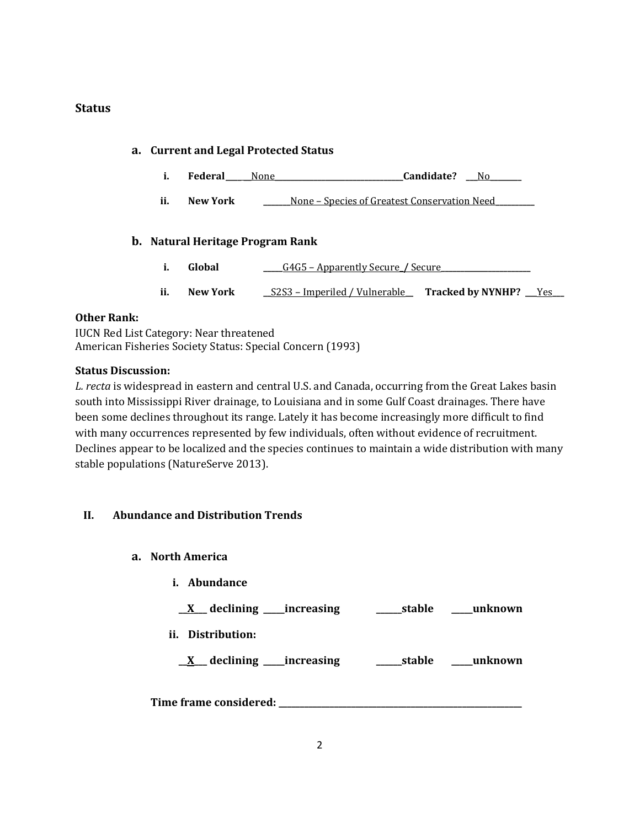# **Status**

# **a. Current and Legal Protected Status i. Federal\_\_\_\_** None **\_\_\_\_\_\_\_\_\_\_\_\_\_\_\_\_\_\_\_\_\_\_\_\_\_\_\_\_\_Candidate?** \_\_\_No **ii. New York \_\_\_\_\_\_\_**None – Species of Greatest Conservation Need**\_\_\_\_\_\_\_\_\_\_ b. Natural Heritage Program Rank i. Global G4G5 – Apparently Secure** / Secure **ii. New York \_\_**S2S3 – Imperiled / Vulnerable**\_\_ Tracked by NYNHP? \_\_\_**Yes**\_\_\_**

## **Other Rank:**

IUCN Red List Category: Near threatened American Fisheries Society Status: Special Concern (1993)

## **Status Discussion:**

*L. recta* is widespread in eastern and central U.S. and Canada, occurring from the Great Lakes basin south into Mississippi River drainage, to Louisiana and in some Gulf Coast drainages. There have been some declines throughout its range. Lately it has become increasingly more difficult to find with many occurrences represented by few individuals, often without evidence of recruitment. Declines appear to be localized and the species continues to maintain a wide distribution with many stable populations (NatureServe 2013).

# **II. Abundance and Distribution Trends**

- **a. North America**
	- **i. Abundance**

**\_\_X\_\_\_ declining \_\_\_\_\_increasing \_\_\_\_\_\_stable \_\_\_\_\_unknown**

**ii. Distribution:**

**\_\_X\_\_\_ declining \_\_\_\_\_increasing \_\_\_\_\_\_stable \_\_\_\_\_unknown**

**Time frame considered: \_\_\_\_\_\_\_\_\_\_\_\_\_\_\_\_\_\_\_\_\_\_\_\_\_\_\_\_\_\_\_\_\_\_\_\_\_\_\_\_\_\_\_\_\_\_\_\_\_\_\_\_\_\_\_\_\_**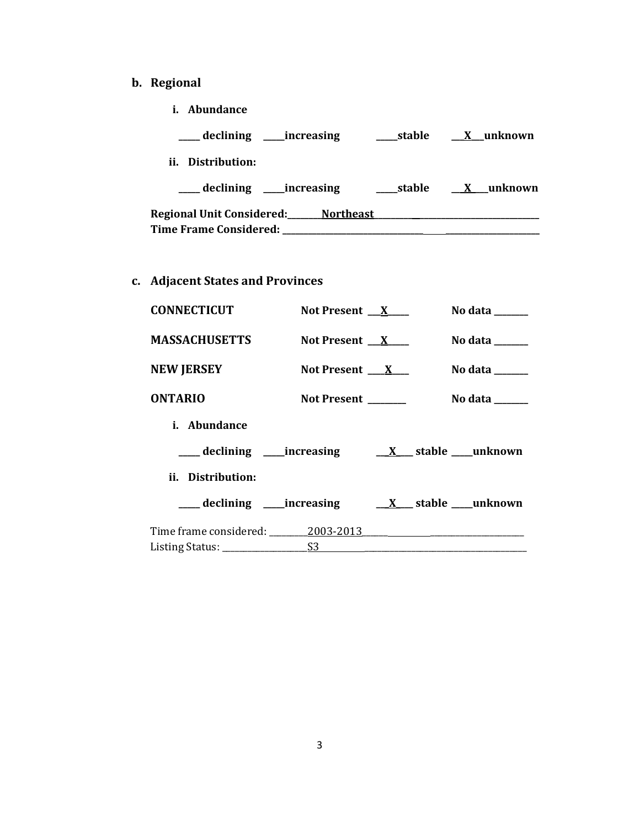- **b. Regional** 
	- **i. Abundance**

| __ declining _____increasing        | stable  | X unknown |
|-------------------------------------|---------|-----------|
| ii. Distribution:                   |         |           |
| declining _____increasing           | _stable | X unknown |
| Regional Unit Considered: Northeast |         |           |
| <b>Time Frame Considered:</b>       |         |           |

**c. Adjacent States and Provinces**

| <b>CONNECTICUT</b>               | Not Present $X$              | No data $\_\_\_\_\_\_\_\_\_\_\_\$   |
|----------------------------------|------------------------------|-------------------------------------|
| <b>MASSACHUSETTS</b>             | Not Present $X_{\text{max}}$ | No data $\_\_\_\_\_\_\_\_\_\_\_\_\$ |
| <b>NEW JERSEY</b>                | Not Present $X_{-}$          | No data ______                      |
| <b>ONTARIO</b>                   | Not Present                  | No data $\_\_\_\_\_\_\_\_\_\_\$     |
| <i>i.</i> Abundance              |                              |                                     |
|                                  |                              |                                     |
| ii. Distribution:                |                              |                                     |
|                                  |                              |                                     |
| Time frame considered: 2003-2013 |                              |                                     |
|                                  |                              |                                     |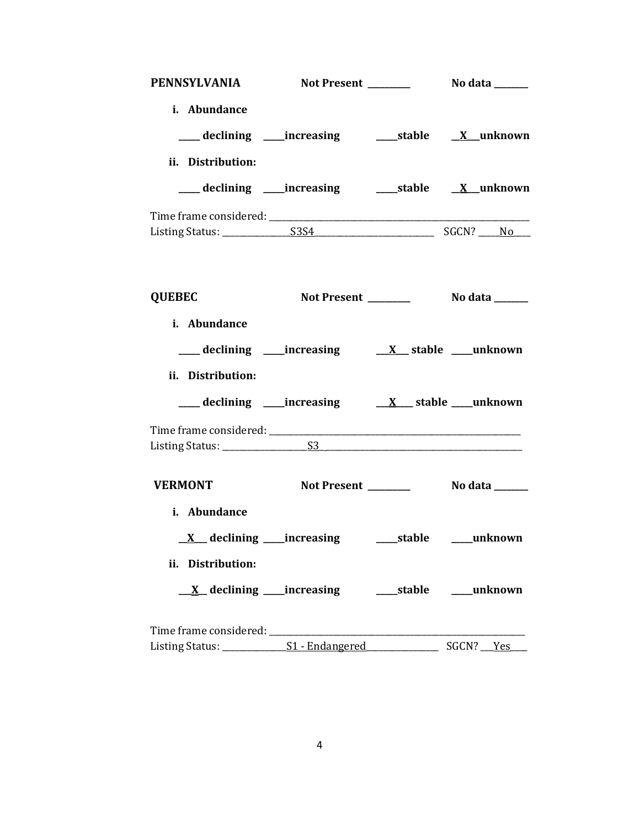| PENNSYLVANIA Not Present _________ No data ______                         |  |                        |
|---------------------------------------------------------------------------|--|------------------------|
| i. Abundance                                                              |  |                        |
| ___ declining ____increasing ______stable _____X__unknown                 |  |                        |
| ii. Distribution:                                                         |  |                        |
| ___ declining ____increasing ______stable ___ X__unknown                  |  |                        |
|                                                                           |  |                        |
|                                                                           |  |                        |
|                                                                           |  |                        |
| <b>QUEBEC</b>                                                             |  |                        |
| i. Abundance                                                              |  |                        |
| ___ declining ___ increasing ___ __ __ __ __ __ __ __ __ __ __ __ unknown |  |                        |
| ii. Distribution:                                                         |  |                        |
|                                                                           |  |                        |
|                                                                           |  |                        |
|                                                                           |  |                        |
| <b>VERMONT</b>                                                            |  |                        |
| i. Abundance                                                              |  |                        |
| <u>X</u> declining ____increasing                                         |  | ____stable ____unknown |
| ii. Distribution:                                                         |  |                        |
|                                                                           |  |                        |
| Time frame considered: _____________                                      |  |                        |
|                                                                           |  |                        |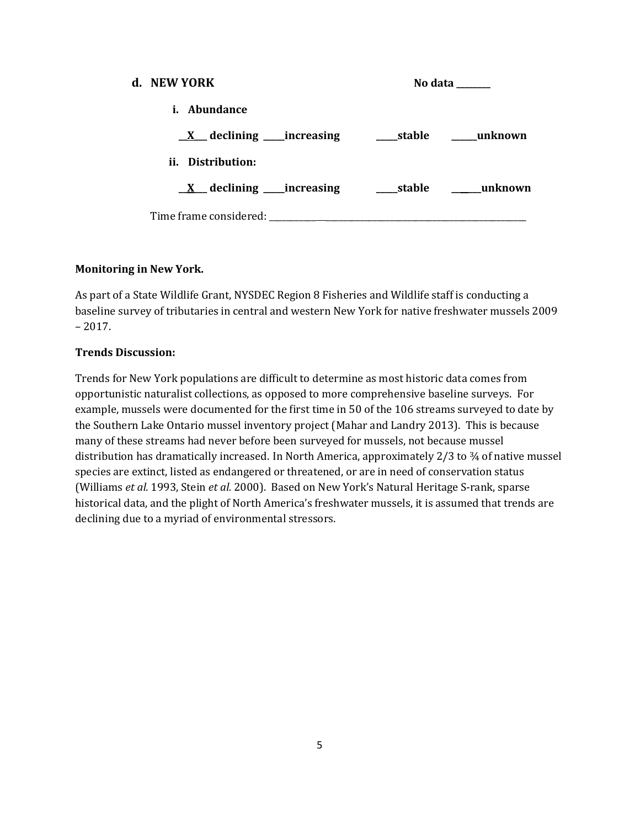| d. NEW YORK            | No data |
|------------------------|---------|
| <i>i.</i> Abundance    |         |
|                        |         |
| ii. Distribution:      |         |
|                        |         |
| Time frame considered: |         |

## **Monitoring in New York.**

As part of a State Wildlife Grant, NYSDEC Region 8 Fisheries and Wildlife staff is conducting a baseline survey of tributaries in central and western New York for native freshwater mussels 2009 – 2017.

## **Trends Discussion:**

Trends for New York populations are difficult to determine as most historic data comes from opportunistic naturalist collections, as opposed to more comprehensive baseline surveys. For example, mussels were documented for the first time in 50 of the 106 streams surveyed to date by the Southern Lake Ontario mussel inventory project (Mahar and Landry 2013). This is because many of these streams had never before been surveyed for mussels, not because mussel distribution has dramatically increased. In North America, approximately 2/3 to 34 of native mussel species are extinct, listed as endangered or threatened, or are in need of conservation status (Williams *et al.* 1993, Stein *et al.* 2000). Based on New York's Natural Heritage S-rank, sparse historical data, and the plight of North America's freshwater mussels, it is assumed that trends are declining due to a myriad of environmental stressors.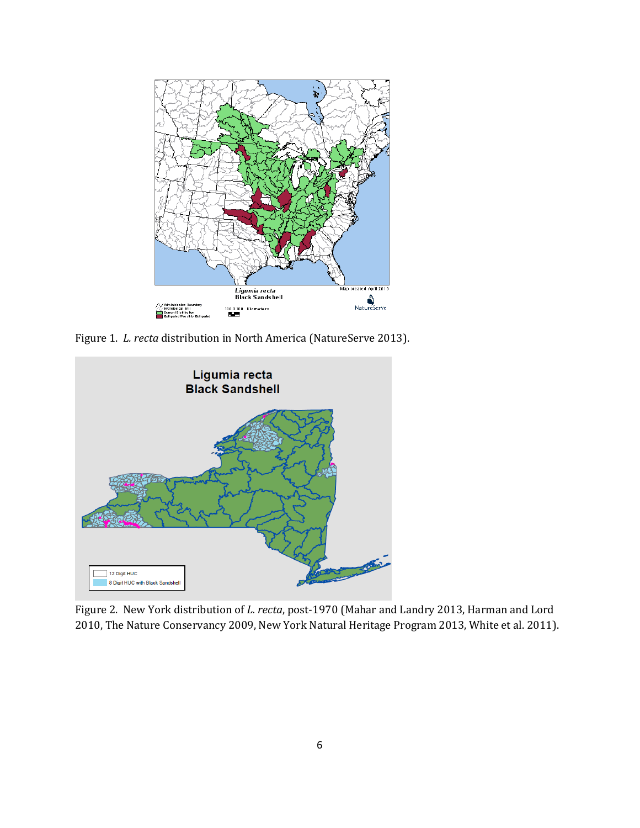

Figure 1. *L. recta* distribution in North America (NatureServe 2013).



Figure 2. New York distribution of *L. recta*, post-1970 (Mahar and Landry 2013, Harman and Lord 2010, The Nature Conservancy 2009, New York Natural Heritage Program 2013, White et al. 2011).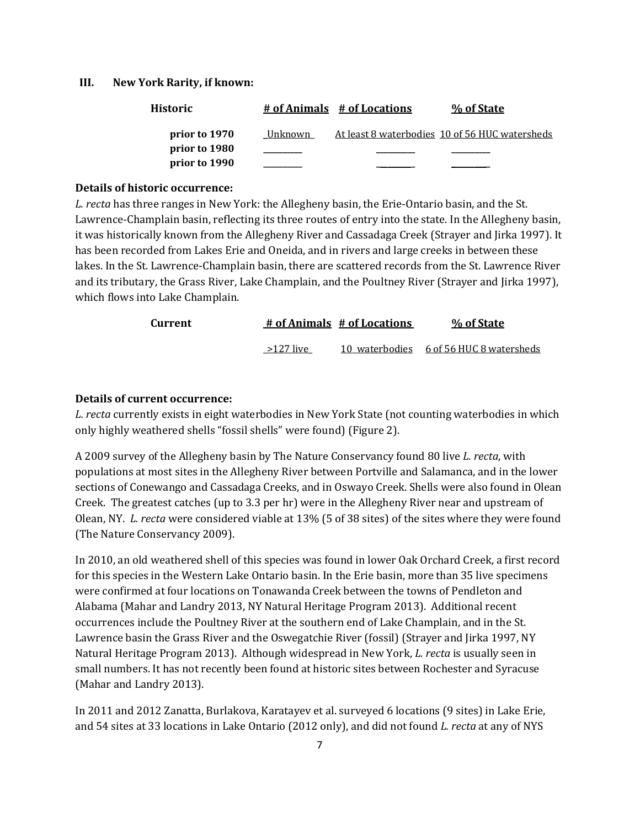#### **III. New York Rarity, if known:**

| <b>Historic</b> |         | # of Animals # of Locations | % of State                                     |
|-----------------|---------|-----------------------------|------------------------------------------------|
| prior to 1970   | Unknown |                             | At least 8 waterbodies 10 of 56 HUC watersheds |
| prior to 1980   |         |                             |                                                |
| prior to 1990   |         |                             |                                                |

#### **Details of historic occurrence:**

*L. recta* has three ranges in New York: the Allegheny basin, the Erie-Ontario basin, and the St. Lawrence-Champlain basin, reflecting its three routes of entry into the state. In the Allegheny basin, it was historically known from the Allegheny River and Cassadaga Creek (Strayer and Jirka 1997). It has been recorded from Lakes Erie and Oneida, and in rivers and large creeks in between these lakes. In the St. Lawrence-Champlain basin, there are scattered records from the St. Lawrence River and its tributary, the Grass River, Lake Champlain, and the Poultney River (Strayer and Jirka 1997), which flows into Lake Champlain.

| Current |             | # of Animals # of Locations | % of State                              |
|---------|-------------|-----------------------------|-----------------------------------------|
|         | $>127$ live |                             | 10 waterbodies 6 of 56 HUC 8 watersheds |

#### **Details of current occurrence:**

*L. recta* currently exists in eight waterbodies in New York State (not counting waterbodies in which only highly weathered shells "fossil shells" were found) (Figure 2).

A 2009 survey of the Allegheny basin by The Nature Conservancy found 80 live *L. recta*, with populations at most sites in the Allegheny River between Portville and Salamanca, and in the lower sections of Conewango and Cassadaga Creeks, and in Oswayo Creek. Shells were also found in Olean Creek. The greatest catches (up to 3.3 per hr) were in the Allegheny River near and upstream of Olean, NY. *L. recta* were considered viable at 13% (5 of 38 sites) of the sites where they were found (The Nature Conservancy 2009).

In 2010, an old weathered shell of this species was found in lower Oak Orchard Creek, a first record for this species in the Western Lake Ontario basin. In the Erie basin, more than 35 live specimens were confirmed at four locations on Tonawanda Creek between the towns of Pendleton and Alabama (Mahar and Landry 2013, NY Natural Heritage Program 2013). Additional recent occurrences include the Poultney River at the southern end of Lake Champlain, and in the St. Lawrence basin the Grass River and the Oswegatchie River (fossil) (Strayer and Jirka 1997, NY Natural Heritage Program 2013). Although widespread in New York, *L. recta* is usually seen in small numbers. It has not recently been found at historic sites between Rochester and Syracuse (Mahar and Landry 2013).

In 2011 and 2012 Zanatta, Burlakova, Karatayev et al. surveyed 6 locations (9 sites) in Lake Erie, and 54 sites at 33 locations in Lake Ontario (2012 only), and did not found *L. recta* at any of NYS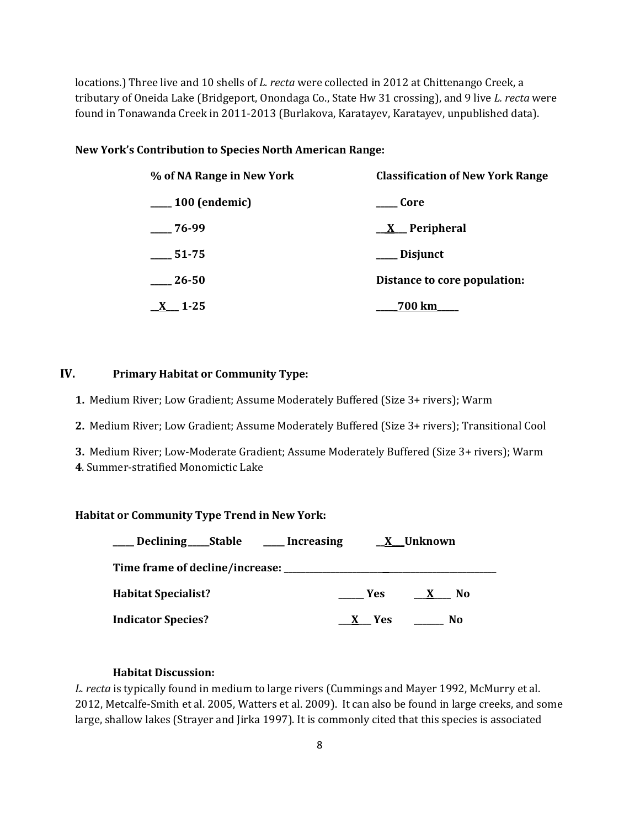locations.) Three live and 10 shells of *L. recta* were collected in 2012 at Chittenango Creek, a tributary of Oneida Lake (Bridgeport, Onondaga Co., State Hw 31 crossing), and 9 live *L. recta* were found in Tonawanda Creek in 2011-2013 (Burlakova, Karatayev, Karatayev, unpublished data).

## **New York's Contribution to Species North American Range:**

| % of NA Range in New York | <b>Classification of New York Range</b> |
|---------------------------|-----------------------------------------|
| 100 (endemic)             | Core                                    |
| $-76-99$                  | <u>X</u> Peripheral                     |
| 51-75                     | Disjunct                                |
| 26-50                     | Distance to core population:            |
| $1 - 25$                  | 700 km                                  |

# **IV. Primary Habitat or Community Type:**

- **1.** Medium River; Low Gradient; Assume Moderately Buffered (Size 3+ rivers); Warm
- **2.** Medium River; Low Gradient; Assume Moderately Buffered (Size 3+ rivers); Transitional Cool
- **3.** Medium River; Low-Moderate Gradient; Assume Moderately Buffered (Size 3+ rivers); Warm
- **4**. Summer-stratified Monomictic Lake

## **Habitat or Community Type Trend in New York:**

| Declining Stable Increasing | X Unknown                             |
|-----------------------------|---------------------------------------|
|                             |                                       |
| <b>Habitat Specialist?</b>  | Yes<br>N <sub>0</sub><br>$\mathbf{X}$ |
| <b>Indicator Species?</b>   | No.<br>X Yes                          |

## **Habitat Discussion:**

*L. recta* is typically found in medium to large rivers (Cummings and Mayer 1992, McMurry et al. 2012, Metcalfe-Smith et al. 2005, Watters et al. 2009). It can also be found in large creeks, and some large, shallow lakes (Strayer and Jirka 1997). It is commonly cited that this species is associated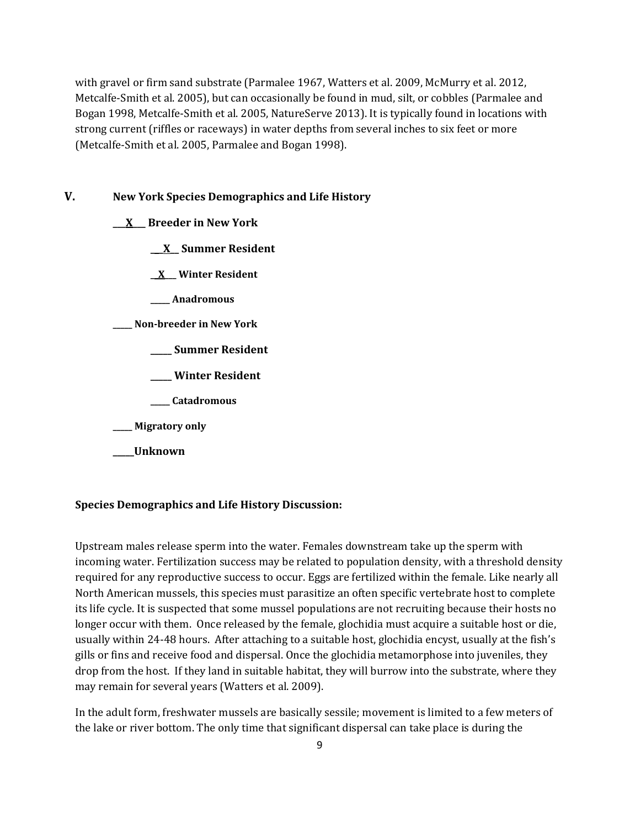with gravel or firm sand substrate (Parmalee 1967, Watters et al. 2009, McMurry et al. 2012, Metcalfe-Smith et al. 2005), but can occasionally be found in mud, silt, or cobbles (Parmalee and Bogan 1998, Metcalfe-Smith et al. 2005, NatureServe 2013). It is typically found in locations with strong current (riffles or raceways) in water depths from several inches to six feet or more (Metcalfe-Smith et al. 2005, Parmalee and Bogan 1998).

## **V. New York Species Demographics and Life History**

**\_\_\_X\_\_\_ Breeder in New York**

**\_\_\_X\_\_ Summer Resident**

**\_\_X\_\_\_ Winter Resident**

**\_\_\_\_\_ Anadromous**

**\_\_\_\_\_ Non-breeder in New York**

- **\_\_\_\_\_ Summer Resident**
- **\_\_\_\_\_ Winter Resident**
- **\_\_\_\_\_ Catadromous**

**\_\_\_\_\_ Migratory only**

**\_\_\_\_\_Unknown**

#### **Species Demographics and Life History Discussion:**

Upstream males release sperm into the water. Females downstream take up the sperm with incoming water. Fertilization success may be related to population density, with a threshold density required for any reproductive success to occur. Eggs are fertilized within the female. Like nearly all North American mussels, this species must parasitize an often specific vertebrate host to complete its life cycle. It is suspected that some mussel populations are not recruiting because their hosts no longer occur with them. Once released by the female, glochidia must acquire a suitable host or die, usually within 24-48 hours. After attaching to a suitable host, glochidia encyst, usually at the fish's gills or fins and receive food and dispersal. Once the glochidia metamorphose into juveniles, they drop from the host. If they land in suitable habitat, they will burrow into the substrate, where they may remain for several years (Watters et al. 2009).

In the adult form, freshwater mussels are basically sessile; movement is limited to a few meters of the lake or river bottom. The only time that significant dispersal can take place is during the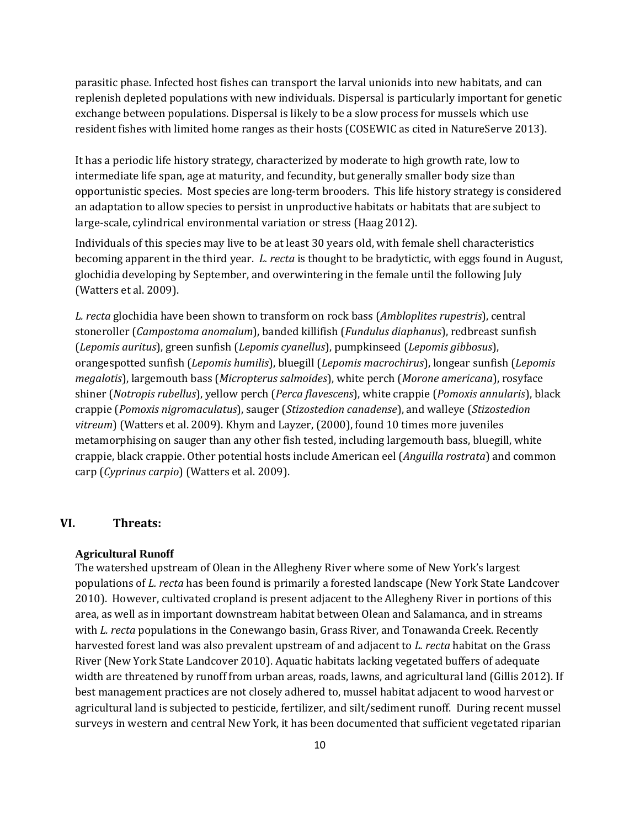parasitic phase. Infected host fishes can transport the larval unionids into new habitats, and can replenish depleted populations with new individuals. Dispersal is particularly important for genetic exchange between populations. Dispersal is likely to be a slow process for mussels which use resident fishes with limited home ranges as their hosts (COSEWIC as cited in NatureServe 2013).

It has a periodic life history strategy, characterized by moderate to high growth rate, low to intermediate life span, age at maturity, and fecundity, but generally smaller body size than opportunistic species. Most species are long-term brooders. This life history strategy is considered an adaptation to allow species to persist in unproductive habitats or habitats that are subject to large-scale, cylindrical environmental variation or stress (Haag 2012).

Individuals of this species may live to be at least 30 years old, with female shell characteristics becoming apparent in the third year. *L. recta* is thought to be bradytictic, with eggs found in August, glochidia developing by September, and overwintering in the female until the following July (Watters et al. 2009).

*L. recta* glochidia have been shown to transform on rock bass (*Ambloplites rupestris*), central stoneroller (*Campostoma anomalum*), banded killifish (*Fundulus diaphanus*), redbreast sunfish (*Lepomis auritus*), green sunfish (*Lepomis cyanellus*), pumpkinseed (*Lepomis gibbosus*), orangespotted sunfish (*Lepomis humilis*), bluegill (*Lepomis macrochirus*), longear sunfish (*Lepomis megalotis*), largemouth bass (*Micropterus salmoides*), white perch (*Morone americana*), rosyface shiner (*Notropis rubellus*), yellow perch (*Perca flavescens*), white crappie (*Pomoxis annularis*), black crappie (*Pomoxis nigromaculatus*), sauger (*Stizostedion canadense*), and walleye (*Stizostedion vitreum*) (Watters et al. 2009). Khym and Layzer, (2000), found 10 times more juveniles metamorphising on sauger than any other fish tested, including largemouth bass, bluegill, white crappie, black crappie. Other potential hosts include American eel (*Anguilla rostrata*) and common carp (*Cyprinus carpio*) (Watters et al. 2009).

## **VI. Threats:**

#### **Agricultural Runoff**

The watershed upstream of Olean in the Allegheny River where some of New York's largest populations of *L. recta* has been found is primarily a forested landscape (New York State Landcover 2010). However, cultivated cropland is present adjacent to the Allegheny River in portions of this area, as well as in important downstream habitat between Olean and Salamanca, and in streams with *L. recta* populations in the Conewango basin, Grass River, and Tonawanda Creek. Recently harvested forest land was also prevalent upstream of and adjacent to *L. recta* habitat on the Grass River (New York State Landcover 2010). Aquatic habitats lacking vegetated buffers of adequate width are threatened by runoff from urban areas, roads, lawns, and agricultural land (Gillis 2012). If best management practices are not closely adhered to, mussel habitat adjacent to wood harvest or agricultural land is subjected to pesticide, fertilizer, and silt/sediment runoff. During recent mussel surveys in western and central New York, it has been documented that sufficient vegetated riparian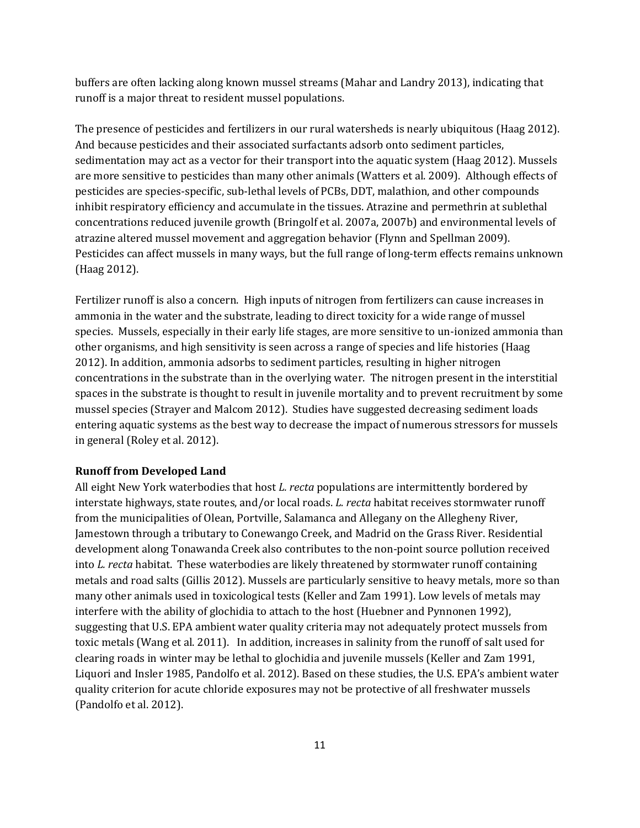buffers are often lacking along known mussel streams (Mahar and Landry 2013), indicating that runoff is a major threat to resident mussel populations.

The presence of pesticides and fertilizers in our rural watersheds is nearly ubiquitous (Haag 2012). And because pesticides and their associated surfactants adsorb onto sediment particles, sedimentation may act as a vector for their transport into the aquatic system (Haag 2012). Mussels are more sensitive to pesticides than many other animals (Watters et al. 2009). Although effects of pesticides are species-specific, sub-lethal levels of PCBs, DDT, malathion, and other compounds inhibit respiratory efficiency and accumulate in the tissues. Atrazine and permethrin at sublethal concentrations reduced juvenile growth (Bringolf et al. 2007a, 2007b) and environmental levels of atrazine altered mussel movement and aggregation behavior (Flynn and Spellman 2009). Pesticides can affect mussels in many ways, but the full range of long-term effects remains unknown (Haag 2012).

Fertilizer runoff is also a concern. High inputs of nitrogen from fertilizers can cause increases in ammonia in the water and the substrate, leading to direct toxicity for a wide range of mussel species. Mussels, especially in their early life stages, are more sensitive to un-ionized ammonia than other organisms, and high sensitivity is seen across a range of species and life histories (Haag 2012). In addition, ammonia adsorbs to sediment particles, resulting in higher nitrogen concentrations in the substrate than in the overlying water. The nitrogen present in the interstitial spaces in the substrate is thought to result in juvenile mortality and to prevent recruitment by some mussel species (Strayer and Malcom 2012). Studies have suggested decreasing sediment loads entering aquatic systems as the best way to decrease the impact of numerous stressors for mussels in general (Roley et al. 2012).

#### **Runoff from Developed Land**

All eight New York waterbodies that host *L. recta* populations are intermittently bordered by interstate highways, state routes, and/or local roads. *L. recta* habitat receives stormwater runoff from the municipalities of Olean, Portville, Salamanca and Allegany on the Allegheny River, Jamestown through a tributary to Conewango Creek, and Madrid on the Grass River. Residential development along Tonawanda Creek also contributes to the non-point source pollution received into *L. recta* habitat. These waterbodies are likely threatened by stormwater runoff containing metals and road salts (Gillis 2012). Mussels are particularly sensitive to heavy metals, more so than many other animals used in toxicological tests (Keller and Zam 1991). Low levels of metals may interfere with the ability of glochidia to attach to the host (Huebner and Pynnonen 1992), suggesting that U.S. EPA ambient water quality criteria may not adequately protect mussels from toxic metals (Wang et al. 2011). In addition, increases in salinity from the runoff of salt used for clearing roads in winter may be lethal to glochidia and juvenile mussels (Keller and Zam 1991, Liquori and Insler 1985, Pandolfo et al. 2012). Based on these studies, the U.S. EPA's ambient water quality criterion for acute chloride exposures may not be protective of all freshwater mussels (Pandolfo et al. 2012).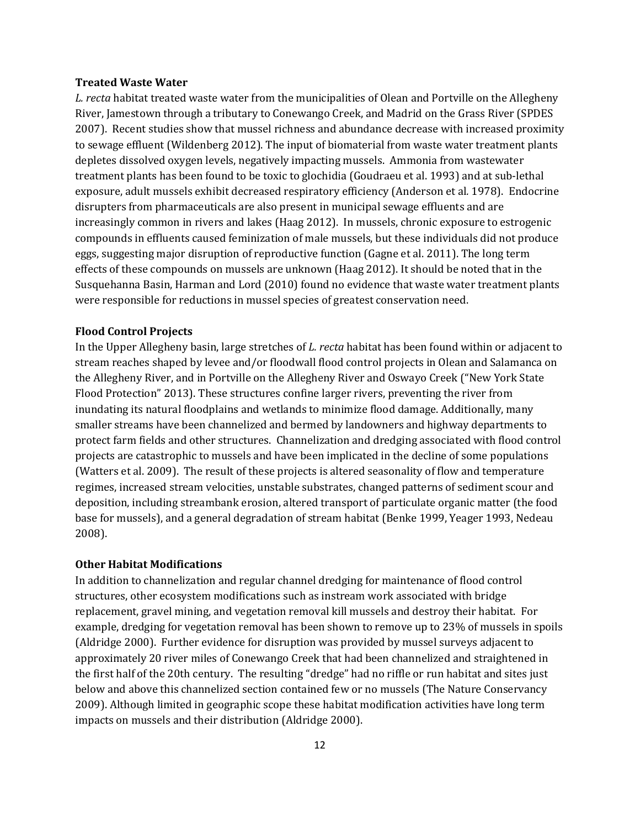#### **Treated Waste Water**

*L. recta* habitat treated waste water from the municipalities of Olean and Portville on the Allegheny River, Jamestown through a tributary to Conewango Creek, and Madrid on the Grass River (SPDES 2007). Recent studies show that mussel richness and abundance decrease with increased proximity to sewage effluent (Wildenberg 2012). The input of biomaterial from waste water treatment plants depletes dissolved oxygen levels, negatively impacting mussels. Ammonia from wastewater treatment plants has been found to be toxic to glochidia (Goudraeu et al. 1993) and at sub-lethal exposure, adult mussels exhibit decreased respiratory efficiency (Anderson et al*.* 1978). Endocrine disrupters from pharmaceuticals are also present in municipal sewage effluents and are increasingly common in rivers and lakes (Haag 2012). In mussels, chronic exposure to estrogenic compounds in effluents caused feminization of male mussels, but these individuals did not produce eggs, suggesting major disruption of reproductive function (Gagne et al. 2011). The long term effects of these compounds on mussels are unknown (Haag 2012). It should be noted that in the Susquehanna Basin, Harman and Lord (2010) found no evidence that waste water treatment plants were responsible for reductions in mussel species of greatest conservation need.

#### **Flood Control Projects**

In the Upper Allegheny basin, large stretches of *L. recta* habitat has been found within or adjacent to stream reaches shaped by levee and/or floodwall flood control projects in Olean and Salamanca on the Allegheny River, and in Portville on the Allegheny River and Oswayo Creek ("New York State Flood Protection" 2013). These structures confine larger rivers, preventing the river from inundating its natural floodplains and wetlands to minimize flood damage. Additionally, many smaller streams have been channelized and bermed by landowners and highway departments to protect farm fields and other structures. Channelization and dredging associated with flood control projects are catastrophic to mussels and have been implicated in the decline of some populations (Watters et al. 2009). The result of these projects is altered seasonality of flow and temperature regimes, increased stream velocities, unstable substrates, changed patterns of sediment scour and deposition, including streambank erosion, altered transport of particulate organic matter (the food base for mussels), and a general degradation of stream habitat (Benke 1999, Yeager 1993, Nedeau 2008).

#### **Other Habitat Modifications**

In addition to channelization and regular channel dredging for maintenance of flood control structures, other ecosystem modifications such as instream work associated with bridge replacement, gravel mining, and vegetation removal kill mussels and destroy their habitat. For example, dredging for vegetation removal has been shown to remove up to 23% of mussels in spoils (Aldridge 2000). Further evidence for disruption was provided by mussel surveys adjacent to approximately 20 river miles of Conewango Creek that had been channelized and straightened in the first half of the 20th century. The resulting "dredge" had no riffle or run habitat and sites just below and above this channelized section contained few or no mussels (The Nature Conservancy 2009). Although limited in geographic scope these habitat modification activities have long term impacts on mussels and their distribution (Aldridge 2000).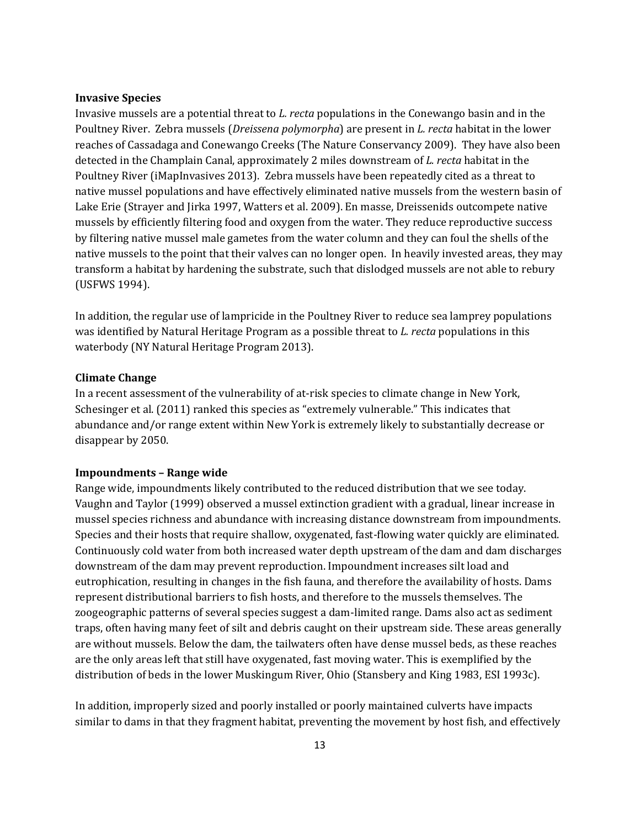#### **Invasive Species**

Invasive mussels are a potential threat to *L. recta* populations in the Conewango basin and in the Poultney River. Zebra mussels (*Dreissena polymorpha*) are present in *L. recta* habitat in the lower reaches of Cassadaga and Conewango Creeks (The Nature Conservancy 2009). They have also been detected in the Champlain Canal, approximately 2 miles downstream of *L. recta* habitat in the Poultney River (iMapInvasives 2013). Zebra mussels have been repeatedly cited as a threat to native mussel populations and have effectively eliminated native mussels from the western basin of Lake Erie (Strayer and Jirka 1997, Watters et al. 2009). En masse, Dreissenids outcompete native mussels by efficiently filtering food and oxygen from the water. They reduce reproductive success by filtering native mussel male gametes from the water column and they can foul the shells of the native mussels to the point that their valves can no longer open. In heavily invested areas, they may transform a habitat by hardening the substrate, such that dislodged mussels are not able to rebury (USFWS 1994).

In addition, the regular use of lampricide in the Poultney River to reduce sea lamprey populations was identified by Natural Heritage Program as a possible threat to *L. recta* populations in this waterbody (NY Natural Heritage Program 2013).

#### **Climate Change**

In a recent assessment of the vulnerability of at-risk species to climate change in New York, Schesinger et al. (2011) ranked this species as "extremely vulnerable." This indicates that abundance and/or range extent within New York is extremely likely to substantially decrease or disappear by 2050.

#### **Impoundments – Range wide**

Range wide, impoundments likely contributed to the reduced distribution that we see today. Vaughn and Taylor (1999) observed a mussel extinction gradient with a gradual, linear increase in mussel species richness and abundance with increasing distance downstream from impoundments. Species and their hosts that require shallow, oxygenated, fast-flowing water quickly are eliminated. Continuously cold water from both increased water depth upstream of the dam and dam discharges downstream of the dam may prevent reproduction. Impoundment increases silt load and eutrophication, resulting in changes in the fish fauna, and therefore the availability of hosts. Dams represent distributional barriers to fish hosts, and therefore to the mussels themselves. The zoogeographic patterns of several species suggest a dam-limited range. Dams also act as sediment traps, often having many feet of silt and debris caught on their upstream side. These areas generally are without mussels. Below the dam, the tailwaters often have dense mussel beds, as these reaches are the only areas left that still have oxygenated, fast moving water. This is exemplified by the distribution of beds in the lower Muskingum River, Ohio (Stansbery and King 1983, ESI 1993c).

In addition, improperly sized and poorly installed or poorly maintained culverts have impacts similar to dams in that they fragment habitat, preventing the movement by host fish, and effectively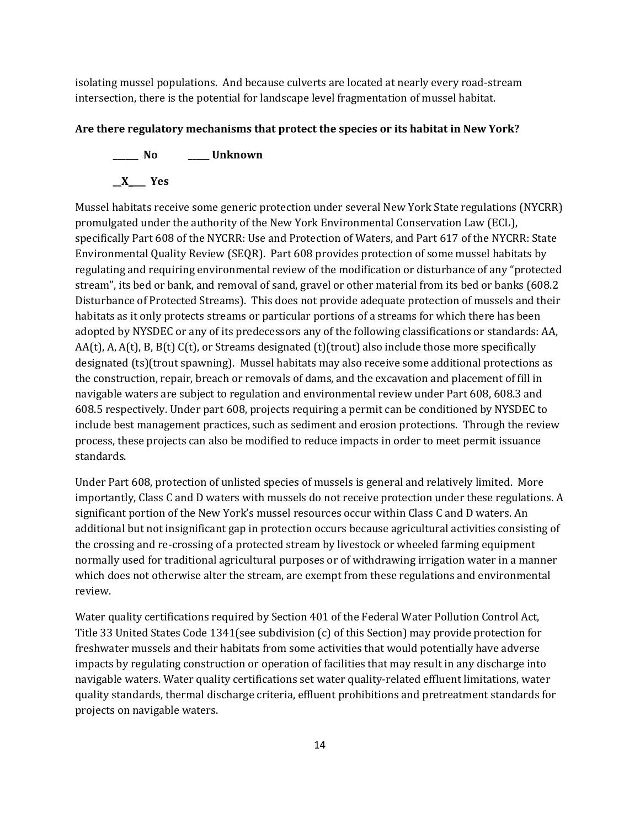isolating mussel populations. And because culverts are located at nearly every road-stream intersection, there is the potential for landscape level fragmentation of mussel habitat.

## **Are there regulatory mechanisms that protect the species or its habitat in New York?**

**\_\_\_\_\_\_ No \_\_\_\_\_ Unknown \_\_X\_\_\_\_ Yes** 

Mussel habitats receive some generic protection under several New York State regulations (NYCRR) promulgated under the authority of the New York Environmental Conservation Law (ECL), specifically Part 608 of the NYCRR: Use and Protection of Waters, and Part 617 of the NYCRR: State Environmental Quality Review (SEQR). Part 608 provides protection of some mussel habitats by regulating and requiring environmental review of the modification or disturbance of any "protected stream", its bed or bank, and removal of sand, gravel or other material from its bed or banks (608.2 Disturbance of Protected Streams). This does not provide adequate protection of mussels and their habitats as it only protects streams or particular portions of a streams for which there has been adopted by NYSDEC or any of its predecessors any of the following classifications or standards: AA, AA(t), A, A(t), B, B(t) C(t), or Streams designated (t)(trout) also include those more specifically designated (ts)(trout spawning). Mussel habitats may also receive some additional protections as the construction, repair, breach or removals of dams, and the excavation and placement of fill in navigable waters are subject to regulation and environmental review under Part 608, 608.3 and 608.5 respectively. Under part 608, projects requiring a permit can be conditioned by NYSDEC to include best management practices, such as sediment and erosion protections. Through the review process, these projects can also be modified to reduce impacts in order to meet permit issuance standards.

Under Part 608, protection of unlisted species of mussels is general and relatively limited. More importantly, Class C and D waters with mussels do not receive protection under these regulations. A significant portion of the New York's mussel resources occur within Class C and D waters. An additional but not insignificant gap in protection occurs because agricultural activities consisting of the crossing and re-crossing of a protected stream by livestock or wheeled farming equipment normally used for traditional agricultural purposes or of withdrawing irrigation water in a manner which does not otherwise alter the stream, are exempt from these regulations and environmental review.

Water quality certifications required by Section 401 of the Federal Water Pollution Control Act, Title 33 United States Code 1341(see subdivision (c) of this Section) may provide protection for freshwater mussels and their habitats from some activities that would potentially have adverse impacts by regulating construction or operation of facilities that may result in any discharge into navigable waters. Water quality certifications set water quality-related effluent limitations, water quality standards, thermal discharge criteria, effluent prohibitions and pretreatment standards for projects on navigable waters.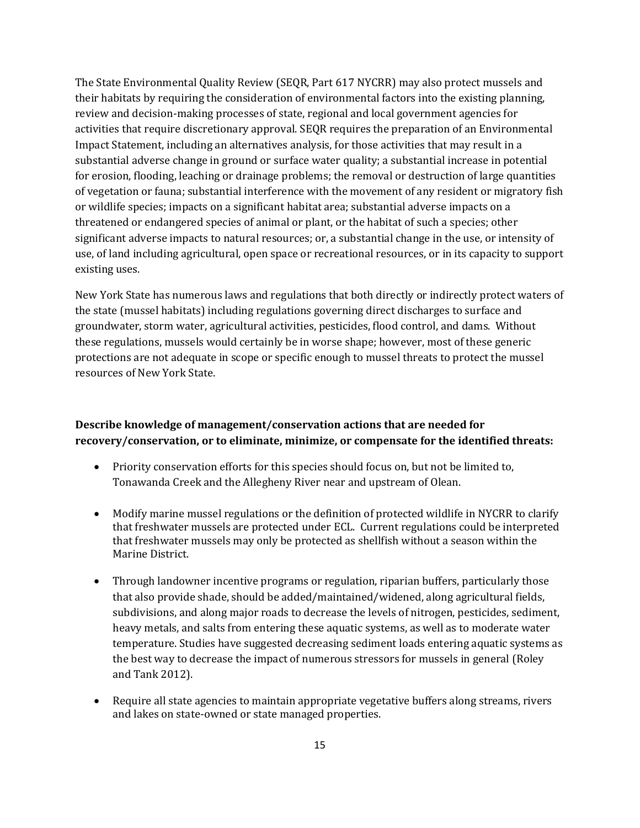The State Environmental Quality Review (SEQR, Part 617 NYCRR) may also protect mussels and their habitats by requiring the consideration of environmental factors into the existing planning, review and decision-making processes of state, regional and local government agencies for activities that require discretionary approval. SEQR requires the preparation of an Environmental Impact Statement, including an alternatives analysis, for those activities that may result in a substantial adverse change in ground or surface water quality; a substantial increase in potential for erosion, flooding, leaching or drainage problems; the removal or destruction of large quantities of vegetation or fauna; substantial interference with the movement of any resident or migratory fish or wildlife species; impacts on a significant habitat area; substantial adverse impacts on a threatened or endangered species of animal or plant, or the habitat of such a species; other significant adverse impacts to natural resources; or, a substantial change in the use, or intensity of use, of land including agricultural, open space or recreational resources, or in its capacity to support existing uses.

New York State has numerous laws and regulations that both directly or indirectly protect waters of the state (mussel habitats) including regulations governing direct discharges to surface and groundwater, storm water, agricultural activities, pesticides, flood control, and dams. Without these regulations, mussels would certainly be in worse shape; however, most of these generic protections are not adequate in scope or specific enough to mussel threats to protect the mussel resources of New York State.

# **Describe knowledge of management/conservation actions that are needed for recovery/conservation, or to eliminate, minimize, or compensate for the identified threats:**

- Priority conservation efforts for this species should focus on, but not be limited to, Tonawanda Creek and the Allegheny River near and upstream of Olean.
- Modify marine mussel regulations or the definition of protected wildlife in NYCRR to clarify that freshwater mussels are protected under ECL. Current regulations could be interpreted that freshwater mussels may only be protected as shellfish without a season within the Marine District.
- Through landowner incentive programs or regulation, riparian buffers, particularly those that also provide shade, should be added/maintained/widened, along agricultural fields, subdivisions, and along major roads to decrease the levels of nitrogen, pesticides, sediment, heavy metals, and salts from entering these aquatic systems, as well as to moderate water temperature. Studies have suggested decreasing sediment loads entering aquatic systems as the best way to decrease the impact of numerous stressors for mussels in general (Roley and Tank 2012).
- Require all state agencies to maintain appropriate vegetative buffers along streams, rivers and lakes on state-owned or state managed properties.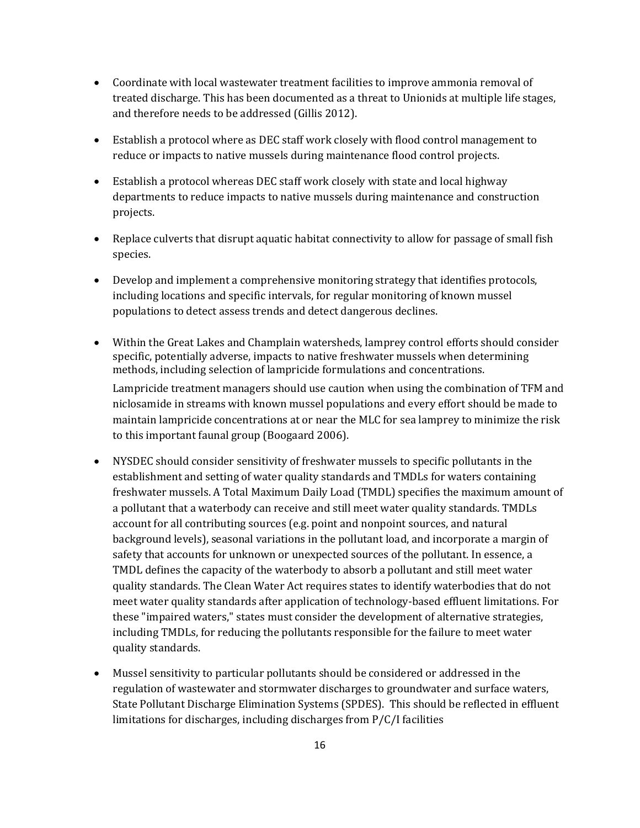- Coordinate with local wastewater treatment facilities to improve ammonia removal of treated discharge. This has been documented as a threat to Unionids at multiple life stages, and therefore needs to be addressed (Gillis 2012).
- Establish a protocol where as DEC staff work closely with flood control management to reduce or impacts to native mussels during maintenance flood control projects.
- Establish a protocol whereas DEC staff work closely with state and local highway departments to reduce impacts to native mussels during maintenance and construction projects.
- Replace culverts that disrupt aquatic habitat connectivity to allow for passage of small fish species.
- Develop and implement a comprehensive monitoring strategy that identifies protocols, including locations and specific intervals, for regular monitoring of known mussel populations to detect assess trends and detect dangerous declines.
- Within the Great Lakes and Champlain watersheds, lamprey control efforts should consider specific, potentially adverse, impacts to native freshwater mussels when determining methods, including selection of lampricide formulations and concentrations.

Lampricide treatment managers should use caution when using the combination of TFM and niclosamide in streams with known mussel populations and every effort should be made to maintain lampricide concentrations at or near the MLC for sea lamprey to minimize the risk to this important faunal group (Boogaard 2006).

- NYSDEC should consider sensitivity of freshwater mussels to specific pollutants in the establishment and setting of water quality standards and TMDLs for waters containing freshwater mussels. A Total Maximum Daily Load (TMDL) specifies the maximum amount of a pollutant that a waterbody can receive and still meet water quality standards. TMDLs account for all contributing sources (e.g. point and nonpoint sources, and natural background levels), seasonal variations in the pollutant load, and incorporate a margin of safety that accounts for unknown or unexpected sources of the pollutant. In essence, a TMDL defines the capacity of the waterbody to absorb a pollutant and still meet water quality standards. The Clean Water Act requires states to identify waterbodies that do not meet water quality standards after application of technology-based effluent limitations. For these "impaired waters," states must consider the development of alternative strategies, including TMDLs, for reducing the pollutants responsible for the failure to meet water quality standards.
- Mussel sensitivity to particular pollutants should be considered or addressed in the regulation of wastewater and stormwater discharges to groundwater and surface waters, State Pollutant Discharge Elimination Systems (SPDES). This should be reflected in effluent limitations for discharges, including discharges from P/C/I facilities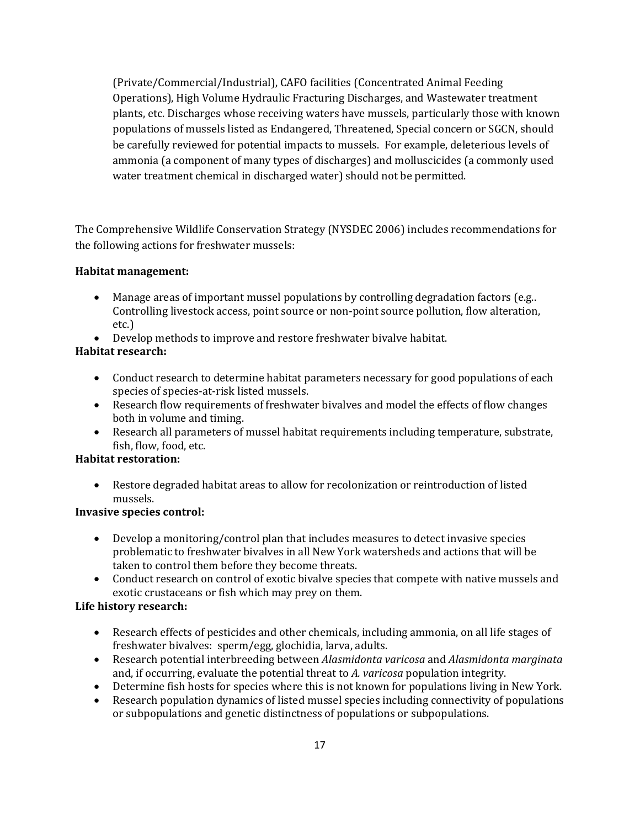(Private/Commercial/Industrial), CAFO facilities (Concentrated Animal Feeding Operations), High Volume Hydraulic Fracturing Discharges, and Wastewater treatment plants, etc. Discharges whose receiving waters have mussels, particularly those with known populations of mussels listed as Endangered, Threatened, Special concern or SGCN, should be carefully reviewed for potential impacts to mussels. For example, deleterious levels of ammonia (a component of many types of discharges) and molluscicides (a commonly used water treatment chemical in discharged water) should not be permitted.

The Comprehensive Wildlife Conservation Strategy (NYSDEC 2006) includes recommendations for the following actions for freshwater mussels:

# **Habitat management:**

- Manage areas of important mussel populations by controlling degradation factors (e.g..) Controlling livestock access, point source or non-point source pollution, flow alteration, etc.)
- Develop methods to improve and restore freshwater bivalve habitat.

# **Habitat research:**

- Conduct research to determine habitat parameters necessary for good populations of each species of species-at-risk listed mussels.
- Research flow requirements of freshwater bivalves and model the effects of flow changes both in volume and timing.
- Research all parameters of mussel habitat requirements including temperature, substrate, fish, flow, food, etc.

# **Habitat restoration:**

• Restore degraded habitat areas to allow for recolonization or reintroduction of listed mussels.

# **Invasive species control:**

- Develop a monitoring/control plan that includes measures to detect invasive species problematic to freshwater bivalves in all New York watersheds and actions that will be taken to control them before they become threats.
- Conduct research on control of exotic bivalve species that compete with native mussels and exotic crustaceans or fish which may prey on them.

# **Life history research:**

- Research effects of pesticides and other chemicals, including ammonia, on all life stages of freshwater bivalves: sperm/egg, glochidia, larva, adults.
- Research potential interbreeding between *Alasmidonta varicosa* and *Alasmidonta marginata* and, if occurring, evaluate the potential threat to *A. varicosa* population integrity.
- Determine fish hosts for species where this is not known for populations living in New York.
- Research population dynamics of listed mussel species including connectivity of populations or subpopulations and genetic distinctness of populations or subpopulations.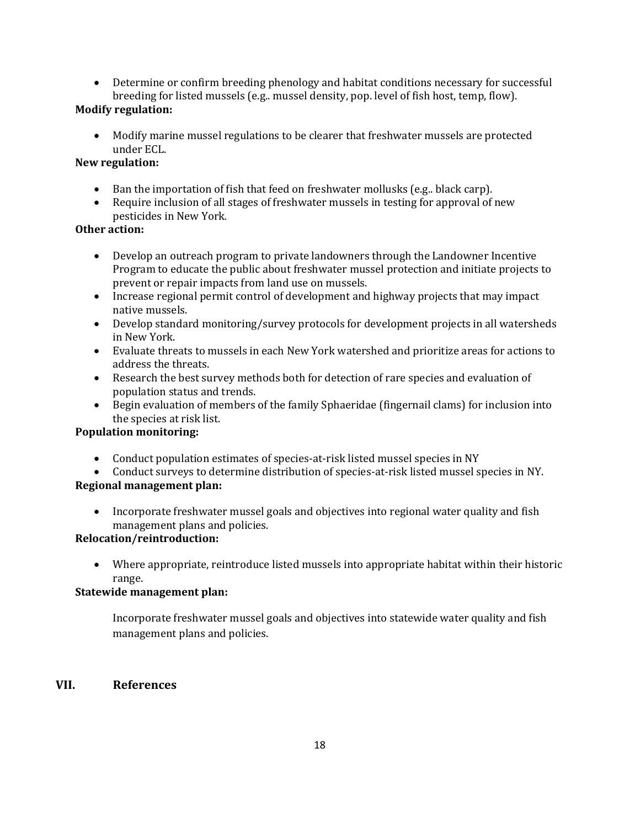• Determine or confirm breeding phenology and habitat conditions necessary for successful breeding for listed mussels (e.g.. mussel density, pop. level of fish host, temp, flow).

# **Modify regulation:**

• Modify marine mussel regulations to be clearer that freshwater mussels are protected under ECL.

# **New regulation:**

- Ban the importation of fish that feed on freshwater mollusks (e.g., black carp).
- Require inclusion of all stages of freshwater mussels in testing for approval of new pesticides in New York*.*

## **Other action:**

- Develop an outreach program to private landowners through the Landowner Incentive Program to educate the public about freshwater mussel protection and initiate projects to prevent or repair impacts from land use on mussels.
- Increase regional permit control of development and highway projects that may impact native mussels.
- Develop standard monitoring/survey protocols for development projects in all watersheds in New York.
- Evaluate threats to mussels in each New York watershed and prioritize areas for actions to address the threats.
- Research the best survey methods both for detection of rare species and evaluation of population status and trends.
- Begin evaluation of members of the family Sphaeridae (fingernail clams) for inclusion into the species at risk list.

## **Population monitoring:**

- Conduct population estimates of species-at-risk listed mussel species in NY
- Conduct surveys to determine distribution of species-at-risk listed mussel species in NY.

# **Regional management plan:**

• Incorporate freshwater mussel goals and objectives into regional water quality and fish management plans and policies.

# **Relocation/reintroduction:**

• Where appropriate, reintroduce listed mussels into appropriate habitat within their historic range.

# **Statewide management plan:**

Incorporate freshwater mussel goals and objectives into statewide water quality and fish management plans and policies.

# **VII. References**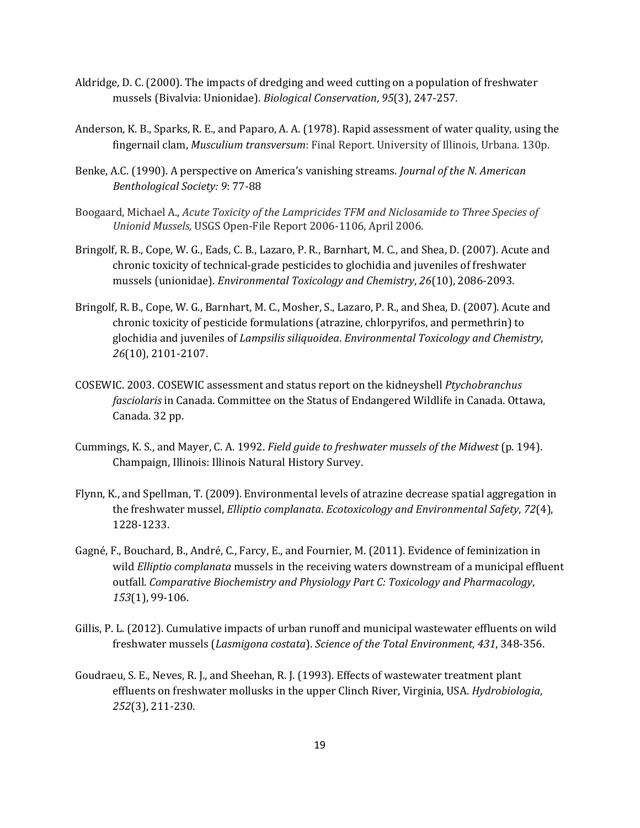- Aldridge, D. C. (2000). The impacts of dredging and weed cutting on a population of freshwater mussels (Bivalvia: Unionidae). *Biological Conservation*, *95*(3), 247-257.
- Anderson, K. B., Sparks, R. E., and Paparo, A. A. (1978). Rapid assessment of water quality, using the fingernail clam, *Musculium transversum*: Final Report. University of Illinois, Urbana. 130p.
- Benke, A.C. (1990). A perspective on America's vanishing streams. *Journal of the N. American Benthological Society: 9*: 77-88
- Boogaard, Michael A., *Acute Toxicity of the Lampricides TFM and Niclosamide to Three Species of Unionid Mussels,* USGS Open-File Report 2006-1106, April 2006.
- Bringolf, R. B., Cope, W. G., Eads, C. B., Lazaro, P. R., Barnhart, M. C., and Shea, D. (2007). Acute and chronic toxicity of technical‐grade pesticides to glochidia and juveniles of freshwater mussels (unionidae). *Environmental Toxicology and Chemistry*, *26*(10), 2086-2093.
- Bringolf, R. B., Cope, W. G., Barnhart, M. C., Mosher, S., Lazaro, P. R., and Shea, D. (2007). Acute and chronic toxicity of pesticide formulations (atrazine, chlorpyrifos, and permethrin) to glochidia and juveniles of *Lampsilis siliquoidea*. *Environmental Toxicology and Chemistry*, *26*(10), 2101-2107.
- COSEWIC. 2003. COSEWIC assessment and status report on the kidneyshell *Ptychobranchus fasciolaris* in Canada. Committee on the Status of Endangered Wildlife in Canada. Ottawa, Canada. 32 pp.
- Cummings, K. S., and Mayer, C. A. 1992. *Field guide to freshwater mussels of the Midwest* (p. 194). Champaign, Illinois: Illinois Natural History Survey.
- Flynn, K., and Spellman, T. (2009). Environmental levels of atrazine decrease spatial aggregation in the freshwater mussel, *Elliptio complanata*. *Ecotoxicology and Environmental Safety*, *72*(4), 1228-1233.
- Gagné, F., Bouchard, B., André, C., Farcy, E., and Fournier, M. (2011). Evidence of feminization in wild *Elliptio complanata* mussels in the receiving waters downstream of a municipal effluent outfall. *Comparative Biochemistry and Physiology Part C: Toxicology and Pharmacology*, *153*(1), 99-106.
- Gillis, P. L. (2012). Cumulative impacts of urban runoff and municipal wastewater effluents on wild freshwater mussels (*Lasmigona costata*). *Science of the Total Environment*, *431*, 348-356.
- Goudraeu, S. E., Neves, R. J., and Sheehan, R. J. (1993). Effects of wastewater treatment plant effluents on freshwater mollusks in the upper Clinch River, Virginia, USA. *Hydrobiologia*, *252*(3), 211-230.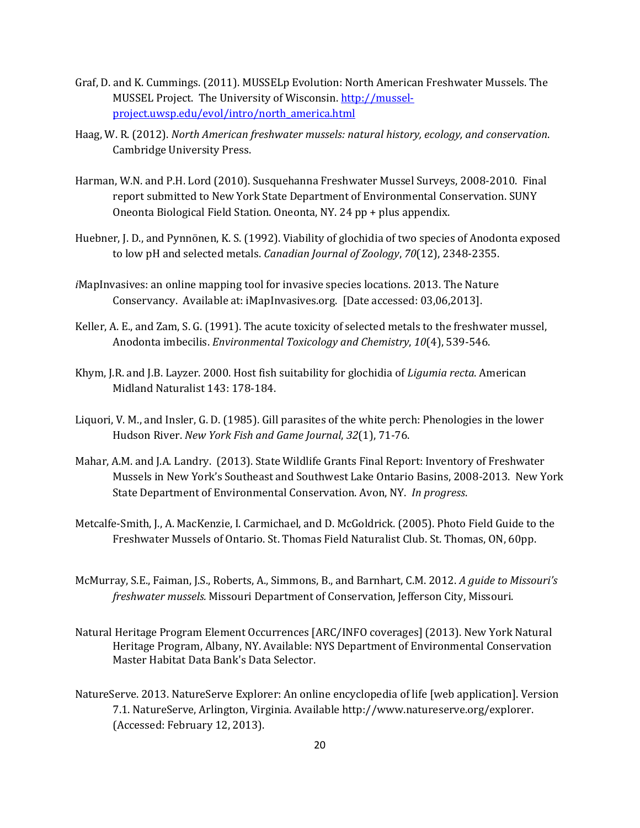- Graf, D. and K. Cummings. (2011). MUSSELp Evolution: North American Freshwater Mussels. The MUSSEL Project. The University of Wisconsin. [http://mussel](http://mussel-project.uwsp.edu/evol/intro/north_america.html)[project.uwsp.edu/evol/intro/north\\_america.html](http://mussel-project.uwsp.edu/evol/intro/north_america.html)
- Haag, W. R. (2012). *North American freshwater mussels: natural history, ecology, and conservation*. Cambridge University Press.
- Harman, W.N. and P.H. Lord (2010). Susquehanna Freshwater Mussel Surveys, 2008-2010. Final report submitted to New York State Department of Environmental Conservation. SUNY Oneonta Biological Field Station. Oneonta, NY. 24 pp + plus appendix.
- Huebner, J. D., and Pynnönen, K. S. (1992). Viability of glochidia of two species of Anodonta exposed to low pH and selected metals. *Canadian Journal of Zoology*, *70*(12), 2348-2355.
- *i*MapInvasives: an online mapping tool for invasive species locations. 2013. The Nature Conservancy. Available at: iMapInvasives.org. [Date accessed: 03,06,2013].
- Keller, A. E., and Zam, S. G. (1991). The acute toxicity of selected metals to the freshwater mussel, Anodonta imbecilis. *Environmental Toxicology and Chemistry*, *10*(4), 539-546.
- Khym, J.R. and J.B. Layzer. 2000. Host fish suitability for glochidia of *Ligumia recta*. American Midland Naturalist 143: 178-184.
- Liquori, V. M., and Insler, G. D. (1985). Gill parasites of the white perch: Phenologies in the lower Hudson River. *New York Fish and Game Journal*, *32*(1), 71-76.
- Mahar, A.M. and J.A. Landry. (2013). State Wildlife Grants Final Report: Inventory of Freshwater Mussels in New York's Southeast and Southwest Lake Ontario Basins, 2008-2013. New York State Department of Environmental Conservation. Avon, NY. *In progress*.
- Metcalfe-Smith, J., A. MacKenzie, I. Carmichael, and D. McGoldrick. (2005). Photo Field Guide to the Freshwater Mussels of Ontario. St. Thomas Field Naturalist Club. St. Thomas, ON, 60pp.
- McMurray, S.E., Faiman, J.S., Roberts, A., Simmons, B., and Barnhart, C.M. 2012. *A guide to Missouri's freshwater mussels.* Missouri Department of Conservation, Jefferson City, Missouri.
- Natural Heritage Program Element Occurrences [ARC/INFO coverages] (2013). New York Natural Heritage Program, Albany, NY. Available: NYS Department of Environmental Conservation Master Habitat Data Bank's Data Selector.
- NatureServe. 2013. NatureServe Explorer: An online encyclopedia of life [web application]. Version 7.1. NatureServe, Arlington, Virginia. Available http://www.natureserve.org/explorer. (Accessed: February 12, 2013).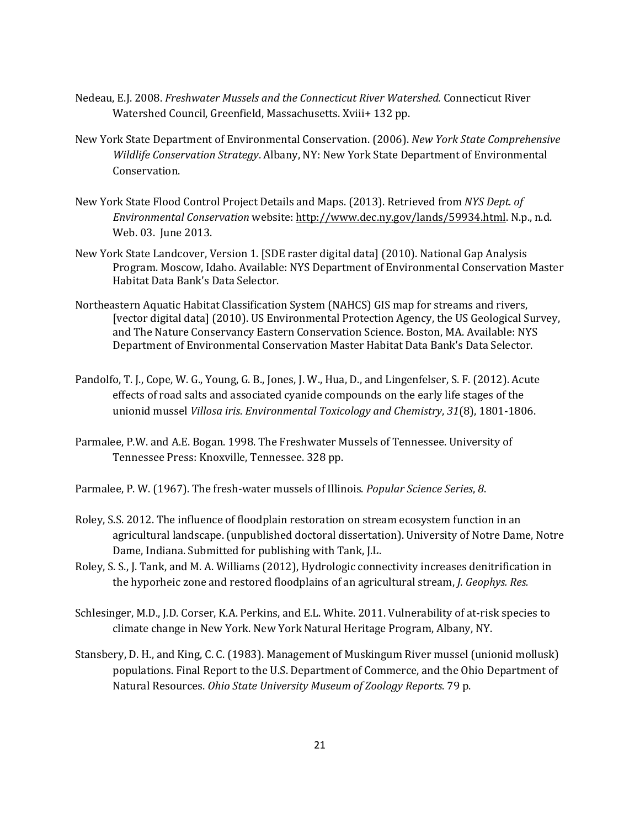- Nedeau, E.J. 2008. *Freshwater Mussels and the Connecticut River Watershed.* Connecticut River Watershed Council, Greenfield, Massachusetts. Xviii+ 132 pp.
- New York State Department of Environmental Conservation. (2006). *New York State Comprehensive Wildlife Conservation Strategy*. Albany, NY: New York State Department of Environmental Conservation.
- New York State Flood Control Project Details and Maps. (2013). Retrieved from *NYS Dept. of Environmental Conservation* website: [http://www.dec.ny.gov/lands/59934.html.](http://www.dec.ny.gov/lands/59934.html) N.p., n.d. Web. 03. June 2013.
- New York State Landcover, Version 1. [SDE raster digital data] (2010). National Gap Analysis Program. Moscow, Idaho. Available: NYS Department of Environmental Conservation Master Habitat Data Bank's Data Selector.
- Northeastern Aquatic Habitat Classification System (NAHCS) GIS map for streams and rivers, [vector digital data] (2010). US Environmental Protection Agency, the US Geological Survey, and The Nature Conservancy Eastern Conservation Science. Boston, MA. Available: NYS Department of Environmental Conservation Master Habitat Data Bank's Data Selector.
- Pandolfo, T. J., Cope, W. G., Young, G. B., Jones, J. W., Hua, D., and Lingenfelser, S. F. (2012). Acute effects of road salts and associated cyanide compounds on the early life stages of the unionid mussel *Villosa iris*. *Environmental Toxicology and Chemistry*, *31*(8), 1801-1806.
- Parmalee, P.W. and A.E. Bogan. 1998. The Freshwater Mussels of Tennessee. University of Tennessee Press: Knoxville, Tennessee. 328 pp.

Parmalee, P. W. (1967). The fresh-water mussels of Illinois. *Popular Science Series*, *8*.

- Roley, S.S. 2012. The influence of floodplain restoration on stream ecosystem function in an agricultural landscape. (unpublished doctoral dissertation). University of Notre Dame, Notre Dame, Indiana. Submitted for publishing with Tank, J.L.
- Roley, S. S., J. Tank, and M. A. Williams (2012), Hydrologic connectivity increases denitrification in the hyporheic zone and restored floodplains of an agricultural stream, *J. Geophys. Res.*
- Schlesinger, M.D., J.D. Corser, K.A. Perkins, and E.L. White. 2011. Vulnerability of at-risk species to climate change in New York. New York Natural Heritage Program, Albany, NY.
- Stansbery, D. H., and King, C. C. (1983). Management of Muskingum River mussel (unionid mollusk) populations. Final Report to the U.S. Department of Commerce, and the Ohio Department of Natural Resources. *Ohio State University Museum of Zoology Reports*. 79 p.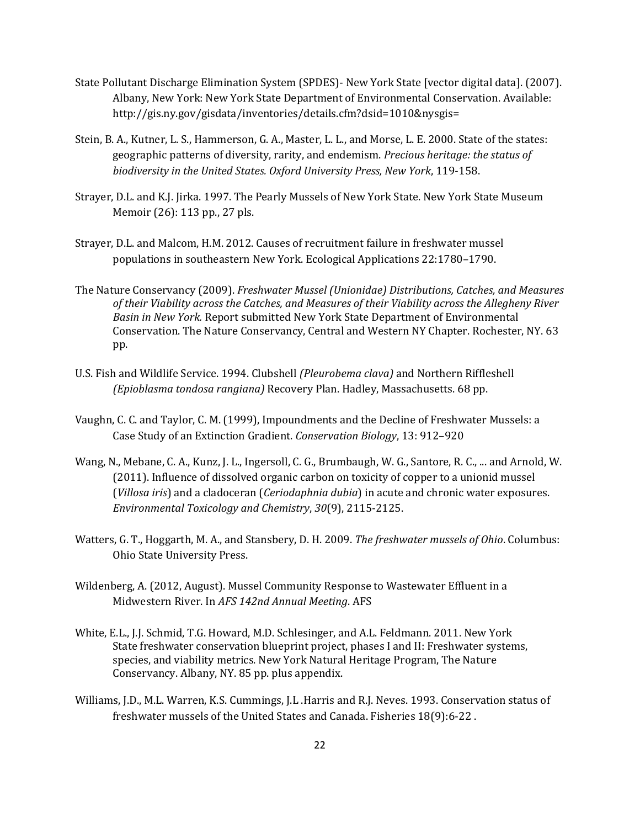- State Pollutant Discharge Elimination System (SPDES)- New York State [vector digital data]. (2007). Albany, New York: New York State Department of Environmental Conservation. Available: [http://gis.ny.gov/gisdata/inventories/details.cfm?dsid=1010&nysgis=](http://gis.ny.gov/gisdata/inventories/details.cfm?dsid=1010&nysgis)
- Stein, B. A., Kutner, L. S., Hammerson, G. A., Master, L. L., and Morse, L. E. 2000. State of the states: geographic patterns of diversity, rarity, and endemism. *Precious heritage: the status of biodiversity in the United States. Oxford University Press, New York*, 119-158.
- Strayer, D.L. and K.J. Jirka. 1997. The Pearly Mussels of New York State. New York State Museum Memoir (26): 113 pp., 27 pls.
- Strayer, D.L. and Malcom, H.M. 2012. Causes of recruitment failure in freshwater mussel populations in southeastern New York. Ecological Applications 22:1780–1790.
- The Nature Conservancy (2009). *Freshwater Mussel (Unionidae) Distributions, Catches, and Measures of their Viability across the Catches, and Measures of their Viability across the Allegheny River Basin in New York.* Report submitted New York State Department of Environmental Conservation. The Nature Conservancy, Central and Western NY Chapter. Rochester, NY. 63 pp.
- U.S. Fish and Wildlife Service. 1994. Clubshell *(Pleurobema clava)* and Northern Riffleshell *(Epioblasma tondosa rangiana)* Recovery Plan. Hadley, Massachusetts. 68 pp.
- Vaughn, C. C. and Taylor, C. M. (1999), Impoundments and the Decline of Freshwater Mussels: a Case Study of an Extinction Gradient. *Conservation Biology*, 13: 912–920
- Wang, N., Mebane, C. A., Kunz, J. L., Ingersoll, C. G., Brumbaugh, W. G., Santore, R. C., ... and Arnold, W. (2011). Influence of dissolved organic carbon on toxicity of copper to a unionid mussel (*Villosa iris*) and a cladoceran (*Ceriodaphnia dubia*) in acute and chronic water exposures. *Environmental Toxicology and Chemistry*, *30*(9), 2115-2125.
- Watters, G. T., Hoggarth, M. A., and Stansbery, D. H. 2009. *The freshwater mussels of Ohio*. Columbus: Ohio State University Press.
- Wildenberg, A. (2012, August). Mussel Community Response to Wastewater Effluent in a Midwestern River. In *AFS 142nd Annual Meeting*. AFS
- White, E.L., J.J. Schmid, T.G. Howard, M.D. Schlesinger, and A.L. Feldmann. 2011. New York State freshwater conservation blueprint project, phases I and II: Freshwater systems, species, and viability metrics. New York Natural Heritage Program, The Nature Conservancy. Albany, NY. 85 pp. plus appendix.
- Williams, J.D., M.L. Warren, K.S. Cummings, J.L .Harris and R.J. Neves. 1993. Conservation status of freshwater mussels of the United States and Canada. Fisheries 18(9):6-22 .